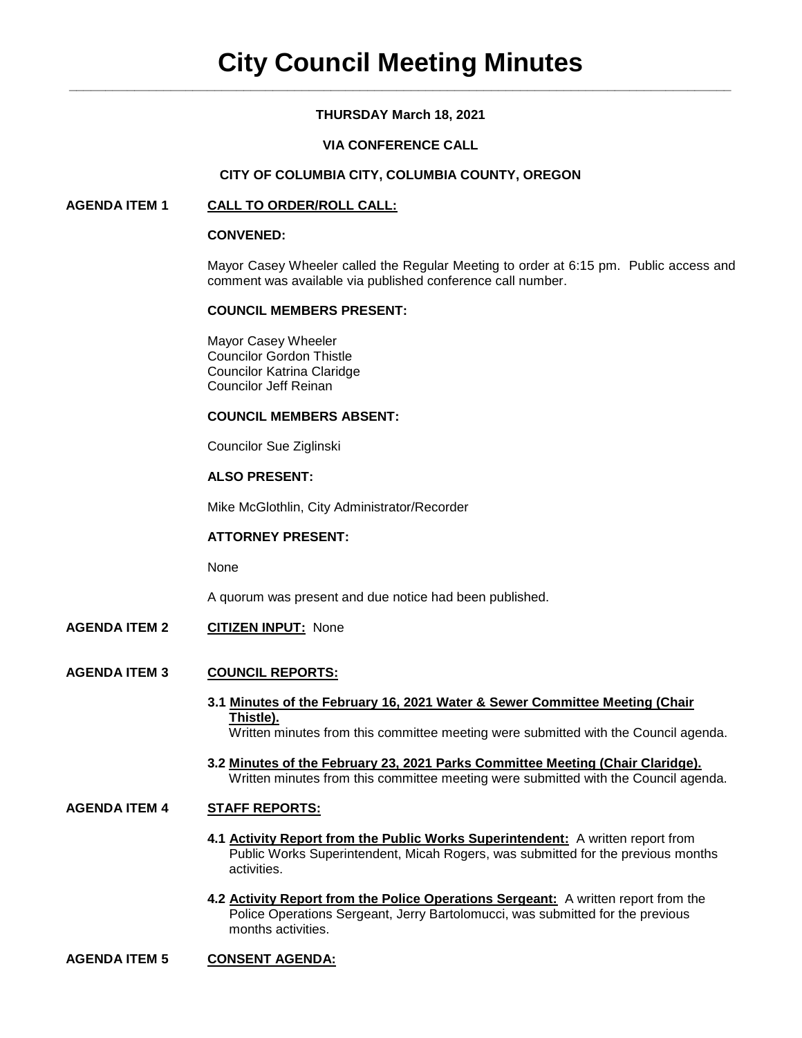# **THURSDAY March 18, 2021**

# **VIA CONFERENCE CALL**

### **CITY OF COLUMBIA CITY, COLUMBIA COUNTY, OREGON**

## **AGENDA ITEM 1 CALL TO ORDER/ROLL CALL:**

#### **CONVENED:**

Mayor Casey Wheeler called the Regular Meeting to order at 6:15 pm. Public access and comment was available via published conference call number.

#### **COUNCIL MEMBERS PRESENT:**

Mayor Casey Wheeler Councilor Gordon Thistle Councilor Katrina Claridge Councilor Jeff Reinan

#### **COUNCIL MEMBERS ABSENT:**

Councilor Sue Ziglinski

#### **ALSO PRESENT:**

Mike McGlothlin, City Administrator/Recorder

## **ATTORNEY PRESENT:**

None

A quorum was present and due notice had been published.

**AGENDA ITEM 2 CITIZEN INPUT:** None

### **AGENDA ITEM 3 COUNCIL REPORTS:**

- **3.1 Minutes of the February 16, 2021 Water & Sewer Committee Meeting (Chair Thistle).** Written minutes from this committee meeting were submitted with the Council agenda.
- **3.2 Minutes of the February 23, 2021 Parks Committee Meeting (Chair Claridge).** Written minutes from this committee meeting were submitted with the Council agenda.

# **AGENDA ITEM 4 STAFF REPORTS:**

- **4.1 Activity Report from the Public Works Superintendent:** A written report from Public Works Superintendent, Micah Rogers, was submitted for the previous months activities.
- **4.2 Activity Report from the Police Operations Sergeant:** A written report from the Police Operations Sergeant, Jerry Bartolomucci, was submitted for the previous months activities.

## **AGENDA ITEM 5 CONSENT AGENDA:**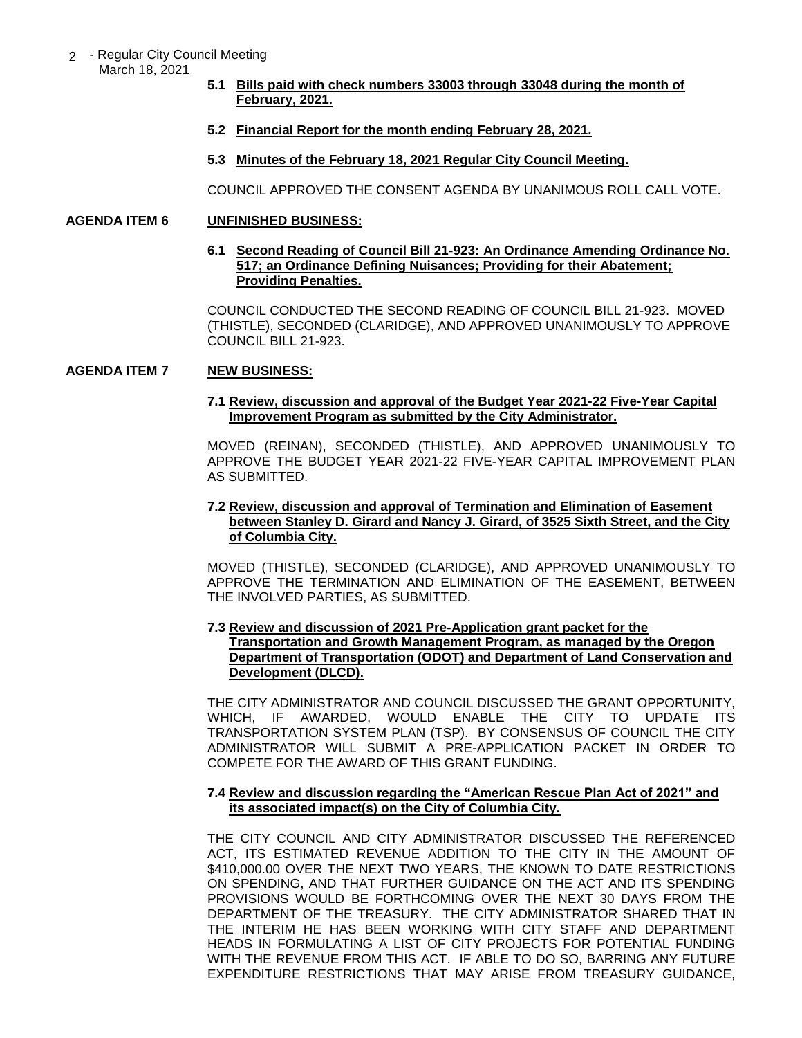- 2 Regular City Council Meeting March 18, 2021
	- **5.1 Bills paid with check numbers 33003 through 33048 during the month of February, 2021.**
	- **5.2 Financial Report for the month ending February 28, 2021.**
	- **5.3 Minutes of the February 18, 2021 Regular City Council Meeting.**

COUNCIL APPROVED THE CONSENT AGENDA BY UNANIMOUS ROLL CALL VOTE.

## **AGENDA ITEM 6 UNFINISHED BUSINESS:**

### **6.1 Second Reading of Council Bill 21-923: An Ordinance Amending Ordinance No. 517; an Ordinance Defining Nuisances; Providing for their Abatement; Providing Penalties.**

COUNCIL CONDUCTED THE SECOND READING OF COUNCIL BILL 21-923. MOVED (THISTLE), SECONDED (CLARIDGE), AND APPROVED UNANIMOUSLY TO APPROVE COUNCIL BILL 21-923.

# **AGENDA ITEM 7 NEW BUSINESS:**

### **7.1 Review, discussion and approval of the Budget Year 2021-22 Five-Year Capital Improvement Program as submitted by the City Administrator.**

MOVED (REINAN), SECONDED (THISTLE), AND APPROVED UNANIMOUSLY TO APPROVE THE BUDGET YEAR 2021-22 FIVE-YEAR CAPITAL IMPROVEMENT PLAN AS SUBMITTED.

# **7.2 Review, discussion and approval of Termination and Elimination of Easement between Stanley D. Girard and Nancy J. Girard, of 3525 Sixth Street, and the City of Columbia City.**

MOVED (THISTLE), SECONDED (CLARIDGE), AND APPROVED UNANIMOUSLY TO APPROVE THE TERMINATION AND ELIMINATION OF THE EASEMENT, BETWEEN THE INVOLVED PARTIES, AS SUBMITTED.

## **7.3 Review and discussion of 2021 Pre-Application grant packet for the Transportation and Growth Management Program, as managed by the Oregon Department of Transportation (ODOT) and Department of Land Conservation and Development (DLCD).**

THE CITY ADMINISTRATOR AND COUNCIL DISCUSSED THE GRANT OPPORTUNITY, WHICH, IF AWARDED, WOULD ENABLE THE CITY TO UPDATE ITS TRANSPORTATION SYSTEM PLAN (TSP). BY CONSENSUS OF COUNCIL THE CITY ADMINISTRATOR WILL SUBMIT A PRE-APPLICATION PACKET IN ORDER TO COMPETE FOR THE AWARD OF THIS GRANT FUNDING.

# **7.4 Review and discussion regarding the "American Rescue Plan Act of 2021" and its associated impact(s) on the City of Columbia City.**

THE CITY COUNCIL AND CITY ADMINISTRATOR DISCUSSED THE REFERENCED ACT, ITS ESTIMATED REVENUE ADDITION TO THE CITY IN THE AMOUNT OF \$410,000.00 OVER THE NEXT TWO YEARS, THE KNOWN TO DATE RESTRICTIONS ON SPENDING, AND THAT FURTHER GUIDANCE ON THE ACT AND ITS SPENDING PROVISIONS WOULD BE FORTHCOMING OVER THE NEXT 30 DAYS FROM THE DEPARTMENT OF THE TREASURY. THE CITY ADMINISTRATOR SHARED THAT IN THE INTERIM HE HAS BEEN WORKING WITH CITY STAFF AND DEPARTMENT HEADS IN FORMULATING A LIST OF CITY PROJECTS FOR POTENTIAL FUNDING WITH THE REVENUE FROM THIS ACT. IF ABLE TO DO SO, BARRING ANY FUTURE EXPENDITURE RESTRICTIONS THAT MAY ARISE FROM TREASURY GUIDANCE,